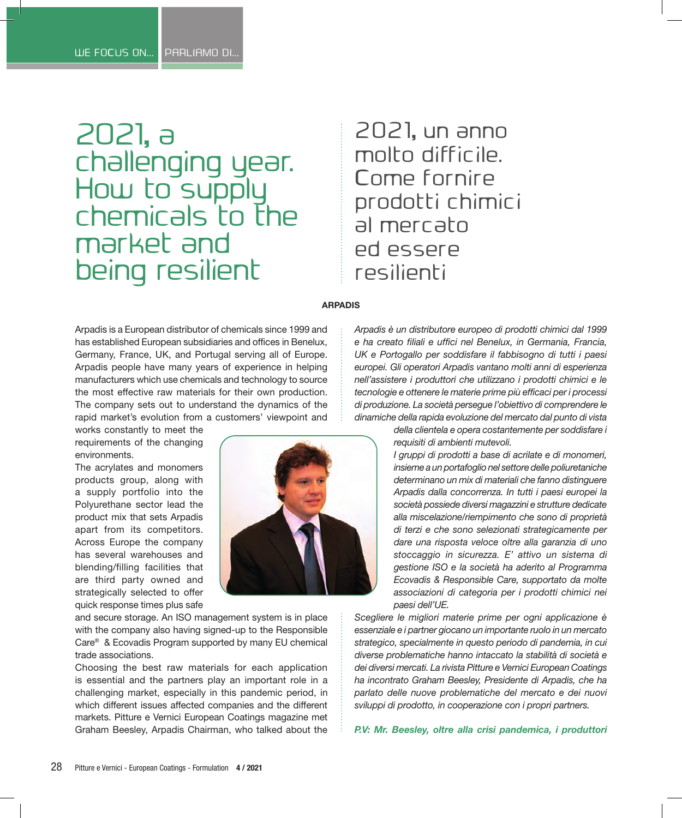# 2021, a challenging year. How to supply chemicals to the market and being resilient

# 2021, un anno molto difficile Come fornire prodotti chimici al mercato ed essere resilienti

#### **ARPADIS**

Arpadis is a European distributor of chemicals since 1999 and has established European subsidiaries and offices in Benelux, Germany, France, UK, and Portugal serving all of Europe. Arpadis people have many years of experience in helping manufacturers which use chemicals and technology to source the most effective raw materials for their own production. The company sets out to understand the dynamics of the rapid market's evolution from a customers' viewpoint and

works constantly to meet the requirements of the changing environments.

The acrylates and monomers products group, along with a supply portfolio into the Polyurethane sector lead the product mix that sets Arpadis apart from its competitors. Across Europe the company has several warehouses and blending/filling facilities that are third party owned and strategically selected to offer quick response times plus safe



and secure storage. An ISO management system is in place with the company also having signed-up to the Responsible Care® & Ecovadis Program supported by many EU chemical trade associations.

Choosing the best raw materials for each application is essential and the partners play an important role in a challenging market, especially in this pandemic period, in which different issues affected companies and the different markets. Pitture e Vernici European Coatings magazine met Graham Beesley, Arpadis Chairman, who talked about the

*Arpadis è un distributore europeo di prodotti chimici dal 1999 e ha creato filiali e uffici nel Benelux, in Germania, Francia, UK e Portogallo per soddisfare il fabbisogno di tutti i paesi europei. Gli operatori Arpadis vantano molti anni di esperienza nell'assistere i produttori che utilizzano i prodotti chimici e le tecnologie e ottenere le materie prime più efficaci per i processi di produzione. La società persegue l'obiettivo di comprendere le dinamiche della rapida evoluzione del mercato dal punto di vista* 

> *della clientela e opera costantemente per soddisfare i requisiti di ambienti mutevoli.*

> *I gruppi di prodotti a base di acrilate e di monomeri, insieme a un portafoglio nel settore delle poliuretaniche determinano un mix di materiali che fanno distinguere Arpadis dalla concorrenza. In tutti i paesi europei la società possiede diversi magazzini e strutture dedicate alla miscelazione/riempimento che sono di proprietà di terzi e che sono selezionati strategicamente per dare una risposta veloce oltre alla garanzia di uno stoccaggio in sicurezza. E' attivo un sistema di gestione ISO e la società ha aderito al Programma Ecovadis & Responsible Care, supportato da molte associazioni di categoria per i prodotti chimici nei paesi dell'UE.*

*Scegliere le migliori materie prime per ogni applicazione è essenziale e i partner giocano un importante ruolo in un mercato strategico, specialmente in questo periodo di pandemia, in cui diverse problematiche hanno intaccato la stabilità di società e dei diversi mercati. La rivista Pitture e Vernici European Coatings ha incontrato Graham Beesley, Presidente di Arpadis, che ha parlato delle nuove problematiche del mercato e dei nuovi sviluppi di prodotto, in cooperazione con i propri partners.*

*P.V: Mr. Beesley, oltre alla crisi pandemica, i produttori*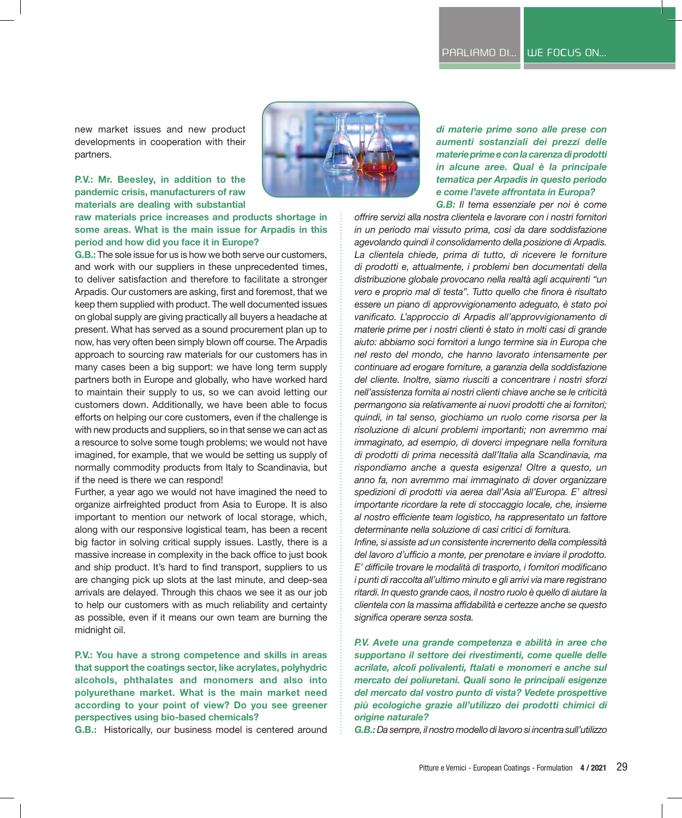new market issues and new product developments in cooperation with their partners.

#### **P.V.: Mr. Beesley, in addition to the pandemic crisis, manufacturers of raw materials are dealing with substantial**

**raw materials price increases and products shortage in some areas. What is the main issue for Arpadis in this period and how did you face it in Europe?**

**G.B.:** The sole issue for us is how we both serve our customers, and work with our suppliers in these unprecedented times, to deliver satisfaction and therefore to facilitate a stronger Arpadis. Our customers are asking, first and foremost, that we keep them supplied with product. The well documented issues on global supply are giving practically all buyers a headache at present. What has served as a sound procurement plan up to now, has very often been simply blown off course. The Arpadis approach to sourcing raw materials for our customers has in many cases been a big support: we have long term supply partners both in Europe and globally, who have worked hard to maintain their supply to us, so we can avoid letting our customers down. Additionally, we have been able to focus efforts on helping our core customers, even if the challenge is with new products and suppliers, so in that sense we can act as a resource to solve some tough problems; we would not have imagined, for example, that we would be setting us supply of normally commodity products from Italy to Scandinavia, but if the need is there we can respond!

Further, a year ago we would not have imagined the need to organize airfreighted product from Asia to Europe. It is also important to mention our network of local storage, which, along with our responsive logistical team, has been a recent big factor in solving critical supply issues. Lastly, there is a massive increase in complexity in the back office to just book and ship product. It's hard to find transport, suppliers to us are changing pick up slots at the last minute, and deep-sea arrivals are delayed. Through this chaos we see it as our job to help our customers with as much reliability and certainty as possible, even if it means our own team are burning the midnight oil.

**P.V.: You have a strong competence and skills in areas that support the coatings sector, like acrylates, polyhydric alcohols, phthalates and monomers and also into polyurethane market. What is the main market need according to your point of view? Do you see greener perspectives using bio-based chemicals?** 

**G.B.:** Historically, our business model is centered around



*di materie prime sono alle prese con aumenti sostanziali dei prezzi delle materie prime e con la carenza di prodotti in alcune aree. Qual è la principale tematica per Arpadis in questo periodo e come l'avete affrontata in Europa? G.B: Il tema essenziale per noi è come* 

*offrire servizi alla nostra clientela e lavorare con i nostri fornitori in un periodo mai vissuto prima, così da dare soddisfazione agevolando quindi il consolidamento della posizione di Arpadis. La clientela chiede, prima di tutto, di ricevere le forniture di prodotti e, attualmente, i problemi ben documentati della distribuzione globale provocano nella realtà agli acquirenti "un vero e proprio mal di testa". Tutto quello che finora è risultato essere un piano di approvvigionamento adeguato, è stato poi vanificato. L'approccio di Arpadis all'approvvigionamento di materie prime per i nostri clienti è stato in molti casi di grande aiuto: abbiamo soci fornitori a lungo termine sia in Europa che nel resto del mondo, che hanno lavorato intensamente per continuare ad erogare forniture, a garanzia della soddisfazione del cliente. Inoltre, siamo riusciti a concentrare i nostri sforzi nell'assistenza fornita ai nostri clienti chiave anche se le criticità permangono sia relativamente ai nuovi prodotti che ai fornitori; quindi, in tal senso, giochiamo un ruolo come risorsa per la risoluzione di alcuni problemi importanti; non avremmo mai immaginato, ad esempio, di doverci impegnare nella fornitura di prodotti di prima necessità dall'Italia alla Scandinavia, ma rispondiamo anche a questa esigenza! Oltre a questo, un anno fa, non avremmo mai immaginato di dover organizzare spedizioni di prodotti via aerea dall'Asia all'Europa. E' altresì importante ricordare la rete di stoccaggio locale, che, insieme al nostro efficiente team logistico, ha rappresentato un fattore determinante nella soluzione di casi critici di fornitura.*

*Infine, si assiste ad un consistente incremento della complessità del lavoro d'ufficio a monte, per prenotare e inviare il prodotto. E' difficile trovare le modalità di trasporto, i fornitori modificano i punti di raccolta all'ultimo minuto e gli arrivi via mare registrano ritardi. In questo grande caos, il nostro ruolo è quello di aiutare la clientela con la massima affidabilità e certezze anche se questo significa operare senza sosta.*

*P.V. Avete una grande competenza e abilità in aree che supportano il settore dei rivestimenti, come quelle delle acrilate, alcoli polivalenti, ftalati e monomeri e anche sul mercato dei poliuretani. Quali sono le principali esigenze del mercato dal vostro punto di vista? Vedete prospettive più ecologiche grazie all'utilizzo dei prodotti chimici di origine naturale?*

*G.B.: Da sempre, il nostro modello di lavoro si incentra sull'utilizzo*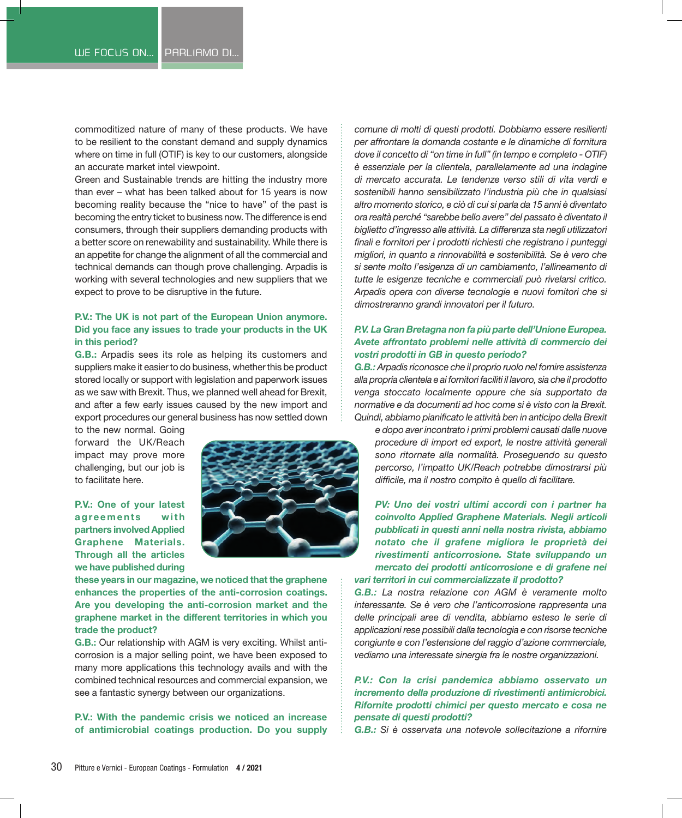commoditized nature of many of these products. We have to be resilient to the constant demand and supply dynamics where on time in full (OTIF) is key to our customers, alongside an accurate market intel viewpoint.

Green and Sustainable trends are hitting the industry more than ever – what has been talked about for 15 years is now becoming reality because the "nice to have" of the past is becoming the entry ticket to business now. The difference is end consumers, through their suppliers demanding products with a better score on renewability and sustainability. While there is an appetite for change the alignment of all the commercial and technical demands can though prove challenging. Arpadis is working with several technologies and new suppliers that we expect to prove to be disruptive in the future.

#### **P.V.: The UK is not part of the European Union anymore. Did you face any issues to trade your products in the UK in this period?**

**G.B.:** Arpadis sees its role as helping its customers and suppliers make it easier to do business, whether this be product stored locally or support with legislation and paperwork issues as we saw with Brexit. Thus, we planned well ahead for Brexit, and after a few early issues caused by the new import and export procedures our general business has now settled down

to the new normal. Going forward the UK/Reach impact may prove more challenging, but our job is to facilitate here.

**P.V.: One of your latest agreements** with **partners involved Applied Graphene Materials. Through all the articles we have published during** 



**these years in our magazine, we noticed that the graphene enhances the properties of the anti-corrosion coatings. Are you developing the anti-corrosion market and the graphene market in the different territories in which you trade the product?**

**G.B.:** Our relationship with AGM is very exciting. Whilst anticorrosion is a major selling point, we have been exposed to many more applications this technology avails and with the combined technical resources and commercial expansion, we see a fantastic synergy between our organizations.

**P.V.: With the pandemic crisis we noticed an increase of antimicrobial coatings production. Do you supply** 

*comune di molti di questi prodotti. Dobbiamo essere resilienti per affrontare la domanda costante e le dinamiche di fornitura dove il concetto di "on time in full" (in tempo e completo - OTIF) è essenziale per la clientela, parallelamente ad una indagine di mercato accurata. Le tendenze verso stili di vita verdi e sostenibili hanno sensibilizzato l'industria più che in qualsiasi altro momento storico, e ciò di cui si parla da 15 anni è diventato ora realtà perché "sarebbe bello avere" del passato è diventato il biglietto d'ingresso alle attività. La differenza sta negli utilizzatori finali e fornitori per i prodotti richiesti che registrano i punteggi migliori, in quanto a rinnovabilità e sostenibilità. Se è vero che si sente molto l'esigenza di un cambiamento, l'allineamento di tutte le esigenze tecniche e commerciali può rivelarsi critico. Arpadis opera con diverse tecnologie e nuovi fornitori che si dimostreranno grandi innovatori per il futuro.*

### *P.V. La Gran Bretagna non fa più parte dell'Unione Europea. Avete affrontato problemi nelle attività di commercio dei vostri prodotti in GB in questo periodo?*

*G.B.: Arpadis riconosce che il proprio ruolo nel fornire assistenza alla propria clientela e ai fornitori faciliti il lavoro, sia che il prodotto venga stoccato localmente oppure che sia supportato da normative e da documenti ad hoc come si è visto con la Brexit. Quindi, abbiamo pianificato le attività ben in anticipo della Brexit* 

*e dopo aver incontrato i primi problemi causati dalle nuove procedure di import ed export, le nostre attività generali sono ritornate alla normalità. Proseguendo su questo percorso, l'impatto UK/Reach potrebbe dimostrarsi più difficile, ma il nostro compito è quello di facilitare.*

*PV: Uno dei vostri ultimi accordi con i partner ha coinvolto Applied Graphene Materials. Negli articoli pubblicati in questi anni nella nostra rivista, abbiamo notato che il grafene migliora le proprietà dei rivestimenti anticorrosione. State sviluppando un mercato dei prodotti anticorrosione e di grafene nei vari territori in cui commercializzate il prodotto?*

*G.B.: La nostra relazione con AGM è veramente molto interessante. Se è vero che l'anticorrosione rappresenta una delle principali aree di vendita, abbiamo esteso le serie di applicazioni rese possibili dalla tecnologia e con risorse tecniche congiunte e con l'estensione del raggio d'azione commerciale, vediamo una interessate sinergia fra le nostre organizzazioni.*

## *P.V.: Con la crisi pandemica abbiamo osservato un incremento della produzione di rivestimenti antimicrobici. Rifornite prodotti chimici per questo mercato e cosa ne pensate di questi prodotti?*

*G.B.: Si è osservata una notevole sollecitazione a rifornire*